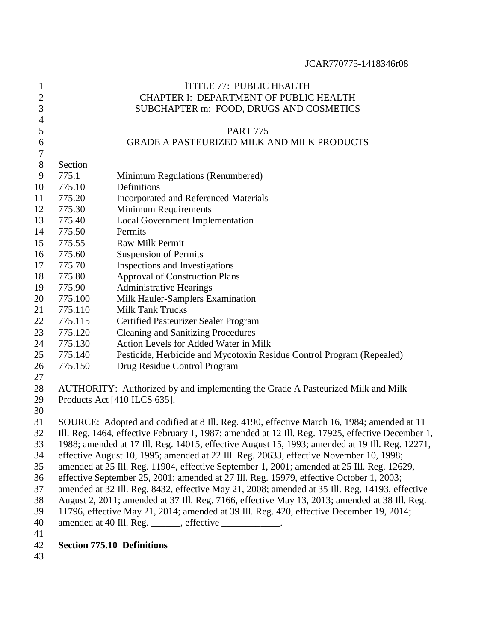| $\mathbf{1}$     |                                         | ITITLE 77: PUBLIC HEALTH                                                                         |  |  |  |  |
|------------------|-----------------------------------------|--------------------------------------------------------------------------------------------------|--|--|--|--|
| $\overline{c}$   |                                         | CHAPTER I: DEPARTMENT OF PUBLIC HEALTH                                                           |  |  |  |  |
| $\mathfrak{Z}$   | SUBCHAPTER m: FOOD, DRUGS AND COSMETICS |                                                                                                  |  |  |  |  |
| $\overline{4}$   |                                         |                                                                                                  |  |  |  |  |
| $\mathfrak s$    |                                         | <b>PART 775</b>                                                                                  |  |  |  |  |
| 6                |                                         | <b>GRADE A PASTEURIZED MILK AND MILK PRODUCTS</b>                                                |  |  |  |  |
| $\boldsymbol{7}$ |                                         |                                                                                                  |  |  |  |  |
| $8\,$            | Section                                 |                                                                                                  |  |  |  |  |
| 9                | 775.1                                   | Minimum Regulations (Renumbered)                                                                 |  |  |  |  |
| 10               | 775.10                                  | Definitions                                                                                      |  |  |  |  |
| 11               | 775.20                                  | <b>Incorporated and Referenced Materials</b>                                                     |  |  |  |  |
| 12               | 775.30                                  | <b>Minimum Requirements</b>                                                                      |  |  |  |  |
| 13               | 775.40                                  | <b>Local Government Implementation</b>                                                           |  |  |  |  |
| 14               | 775.50                                  | Permits                                                                                          |  |  |  |  |
| 15               | 775.55                                  | <b>Raw Milk Permit</b>                                                                           |  |  |  |  |
| 16               | 775.60                                  | <b>Suspension of Permits</b>                                                                     |  |  |  |  |
| 17               | 775.70                                  | Inspections and Investigations                                                                   |  |  |  |  |
| 18               | 775.80                                  | <b>Approval of Construction Plans</b>                                                            |  |  |  |  |
| 19               | 775.90                                  | <b>Administrative Hearings</b>                                                                   |  |  |  |  |
| 20               | 775.100                                 | Milk Hauler-Samplers Examination                                                                 |  |  |  |  |
| 21               | 775.110                                 | <b>Milk Tank Trucks</b>                                                                          |  |  |  |  |
| 22               | 775.115                                 | Certified Pasteurizer Sealer Program                                                             |  |  |  |  |
| 23               | 775.120                                 | <b>Cleaning and Sanitizing Procedures</b>                                                        |  |  |  |  |
| 24               | 775.130                                 | Action Levels for Added Water in Milk                                                            |  |  |  |  |
| 25               | 775.140                                 | Pesticide, Herbicide and Mycotoxin Residue Control Program (Repealed)                            |  |  |  |  |
| 26               | 775.150                                 | Drug Residue Control Program                                                                     |  |  |  |  |
| 27               |                                         |                                                                                                  |  |  |  |  |
| 28               |                                         | AUTHORITY: Authorized by and implementing the Grade A Pasteurized Milk and Milk                  |  |  |  |  |
| 29               |                                         | Products Act [410 ILCS 635].                                                                     |  |  |  |  |
| 30               |                                         |                                                                                                  |  |  |  |  |
| 31               |                                         | SOURCE: Adopted and codified at 8 Ill. Reg. 4190, effective March 16, 1984; amended at 11        |  |  |  |  |
| 32               |                                         | Ill. Reg. 1464, effective February 1, 1987; amended at 12 Ill. Reg. 17925, effective December 1, |  |  |  |  |
| 33               |                                         | 1988; amended at 17 Ill. Reg. 14015, effective August 15, 1993; amended at 19 Ill. Reg. 12271,   |  |  |  |  |
| 34               |                                         | effective August 10, 1995; amended at 22 Ill. Reg. 20633, effective November 10, 1998;           |  |  |  |  |
| 35               |                                         | amended at 25 Ill. Reg. 11904, effective September 1, 2001; amended at 25 Ill. Reg. 12629,       |  |  |  |  |
| 36               |                                         | effective September 25, 2001; amended at 27 Ill. Reg. 15979, effective October 1, 2003;          |  |  |  |  |
| 37               |                                         | amended at 32 Ill. Reg. 8432, effective May 21, 2008; amended at 35 Ill. Reg. 14193, effective   |  |  |  |  |
| 38               |                                         | August 2, 2011; amended at 37 Ill. Reg. 7166, effective May 13, 2013; amended at 38 Ill. Reg.    |  |  |  |  |
| 39               |                                         | 11796, effective May 21, 2014; amended at 39 Ill. Reg. 420, effective December 19, 2014;         |  |  |  |  |
| 40               |                                         | amended at 40 Ill. Reg. ______, effective ___________.                                           |  |  |  |  |
| 41               |                                         |                                                                                                  |  |  |  |  |
| 42               |                                         | <b>Section 775.10 Definitions</b>                                                                |  |  |  |  |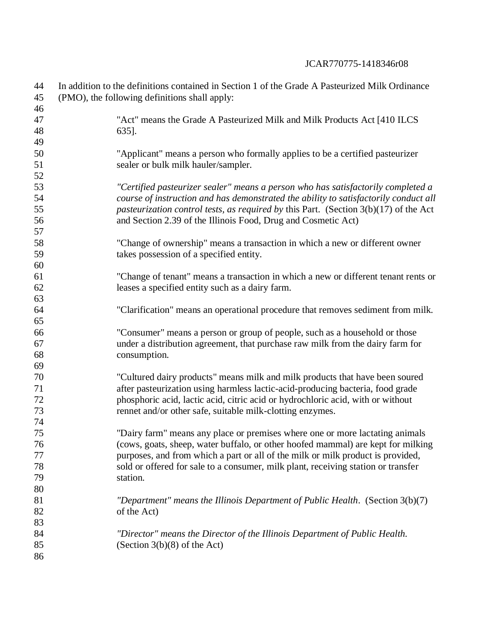| 44<br>45 | In addition to the definitions contained in Section 1 of the Grade A Pasteurized Milk Ordinance<br>(PMO), the following definitions shall apply: |
|----------|--------------------------------------------------------------------------------------------------------------------------------------------------|
| 46       |                                                                                                                                                  |
| 47       | "Act" means the Grade A Pasteurized Milk and Milk Products Act [410 ILCS                                                                         |
| 48       | 635].                                                                                                                                            |
| 49       |                                                                                                                                                  |
| 50       | "Applicant" means a person who formally applies to be a certified pasteurizer                                                                    |
| 51       | sealer or bulk milk hauler/sampler.                                                                                                              |
| 52       |                                                                                                                                                  |
| 53       | "Certified pasteurizer sealer" means a person who has satisfactorily completed a                                                                 |
| 54       | course of instruction and has demonstrated the ability to satisfactorily conduct all                                                             |
| 55       | pasteurization control tests, as required by this Part. (Section $3(b)(17)$ of the Act                                                           |
| 56       | and Section 2.39 of the Illinois Food, Drug and Cosmetic Act)                                                                                    |
| 57       |                                                                                                                                                  |
| 58       | "Change of ownership" means a transaction in which a new or different owner                                                                      |
| 59       | takes possession of a specified entity.                                                                                                          |
| 60       |                                                                                                                                                  |
| 61       | "Change of tenant" means a transaction in which a new or different tenant rents or                                                               |
| 62       | leases a specified entity such as a dairy farm.                                                                                                  |
| 63       |                                                                                                                                                  |
| 64       | "Clarification" means an operational procedure that removes sediment from milk.                                                                  |
| 65       |                                                                                                                                                  |
| 66       | "Consumer" means a person or group of people, such as a household or those                                                                       |
| 67       | under a distribution agreement, that purchase raw milk from the dairy farm for                                                                   |
| 68       | consumption.                                                                                                                                     |
| 69       |                                                                                                                                                  |
| 70       | "Cultured dairy products" means milk and milk products that have been soured                                                                     |
| 71       | after pasteurization using harmless lactic-acid-producing bacteria, food grade                                                                   |
| 72       | phosphoric acid, lactic acid, citric acid or hydrochloric acid, with or without                                                                  |
| 73       | rennet and/or other safe, suitable milk-clotting enzymes.                                                                                        |
| 74       |                                                                                                                                                  |
| 75       | "Dairy farm" means any place or premises where one or more lactating animals                                                                     |
| 76       | (cows, goats, sheep, water buffalo, or other hoofed mammal) are kept for milking                                                                 |
| 77       | purposes, and from which a part or all of the milk or milk product is provided,                                                                  |
| 78       | sold or offered for sale to a consumer, milk plant, receiving station or transfer                                                                |
| 79       | station.                                                                                                                                         |
| 80       |                                                                                                                                                  |
| 81       | "Department" means the Illinois Department of Public Health. (Section $3(b)(7)$                                                                  |
| 82       | of the Act)                                                                                                                                      |
| 83       |                                                                                                                                                  |
| 84       | "Director" means the Director of the Illinois Department of Public Health.                                                                       |
| 85       | (Section $3(b)(8)$ of the Act)                                                                                                                   |
| 86       |                                                                                                                                                  |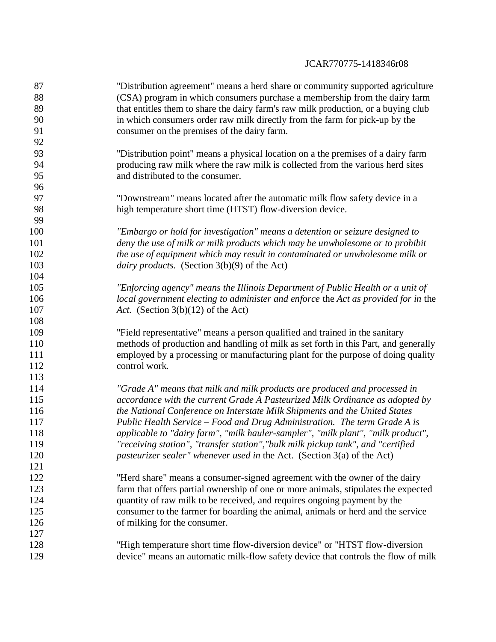"Distribution agreement" means a herd share or community supported agriculture (CSA) program in which consumers purchase a membership from the dairy farm that entitles them to share the dairy farm's raw milk production, or a buying club in which consumers order raw milk directly from the farm for pick-up by the consumer on the premises of the dairy farm. "Distribution point" means a physical location on a the premises of a dairy farm producing raw milk where the raw milk is collected from the various herd sites and distributed to the consumer. "Downstream" means located after the automatic milk flow safety device in a high temperature short time (HTST) flow-diversion device. *"Embargo or hold for investigation" means a detention or seizure designed to deny the use of milk or milk products which may be unwholesome or to prohibit the use of equipment which may result in contaminated or unwholesome milk or dairy products.* (Section 3(b)(9) of the Act) *"Enforcing agency" means the Illinois Department of Public Health or a unit of local government electing to administer and enforce* the *Act as provided for in* the *Act.* (Section 3(b)(12) of the Act) "Field representative" means a person qualified and trained in the sanitary methods of production and handling of milk as set forth in this Part, and generally employed by a processing or manufacturing plant for the purpose of doing quality control work. *"Grade A" means that milk and milk products are produced and processed in accordance with the current Grade A Pasteurized Milk Ordinance as adopted by the National Conference on Interstate Milk Shipments and the United States Public Health Service – Food and Drug Administration. The term Grade A is applicable to "dairy farm", "milk hauler-sampler", "milk plant", "milk product", "receiving station"*, *"transfer station","bulk milk pickup tank", and "certified pasteurizer sealer" whenever used in* the Act. (Section 3(a) of the Act) "Herd share" means a consumer-signed agreement with the owner of the dairy farm that offers partial ownership of one or more animals, stipulates the expected quantity of raw milk to be received, and requires ongoing payment by the consumer to the farmer for boarding the animal, animals or herd and the service 126 of milking for the consumer. "High temperature short time flow-diversion device" or "HTST flow-diversion device" means an automatic milk-flow safety device that controls the flow of milk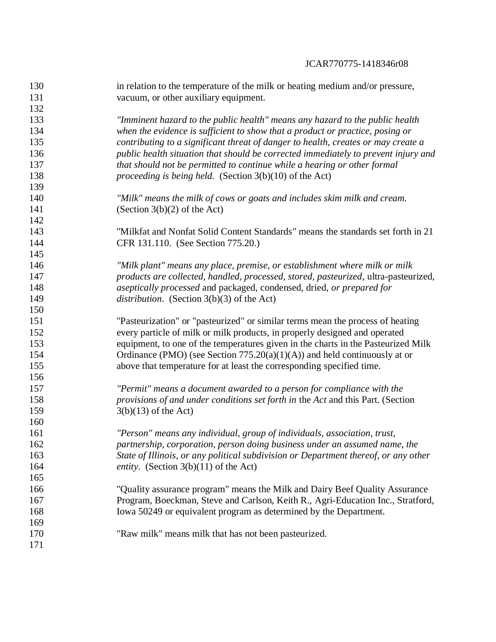in relation to the temperature of the milk or heating medium and/or pressure, 131 vacuum, or other auxiliary equipment. *"Imminent hazard to the public health" means any hazard to the public health when the evidence is sufficient to show that a product or practice, posing or contributing to a significant threat of danger to health, creates or may create a public health situation that should be corrected immediately to prevent injury and that should not be permitted to continue while a hearing or other formal proceeding is being held.* (Section 3(b)(10) of the Act) *"Milk" means the milk of cows or goats and includes skim milk and cream.* 141 (Section  $3(b)(2)$  of the Act) "Milkfat and Nonfat Solid Content Standards" means the standards set forth in 21 CFR 131.110. (See Section 775.20.) *"Milk plant" means any place, premise, or establishment where milk or milk products are collected, handled, processed, stored, pasteurized*, ultra-pasteurized, *aseptically processed* and packaged, condensed, dried, *or prepared for distribution*. (Section 3(b)(3) of the Act) "Pasteurization" or "pasteurized" or similar terms mean the process of heating every particle of milk or milk products, in properly designed and operated equipment, to one of the temperatures given in the charts in the Pasteurized Milk 154 Ordinance (PMO) (see Section 775.20(a)(1)(A)) and held continuously at or above that temperature for at least the corresponding specified time. *"Permit" means a document awarded to a person for compliance with the provisions of and under conditions set forth in* the *Act* and this Part. (Section 3(b)(13) of the Act) *"Person" means any individual, group of individuals, association, trust, partnership, corporation, person doing business under an assumed name, the State of Illinois, or any political subdivision or Department thereof, or any other entity*. (Section 3(b)(11) of the Act) "Quality assurance program" means the Milk and Dairy Beef Quality Assurance Program, Boeckman, Steve and Carlson, Keith R., Agri-Education Inc., Stratford, Iowa 50249 or equivalent program as determined by the Department. "Raw milk" means milk that has not been pasteurized.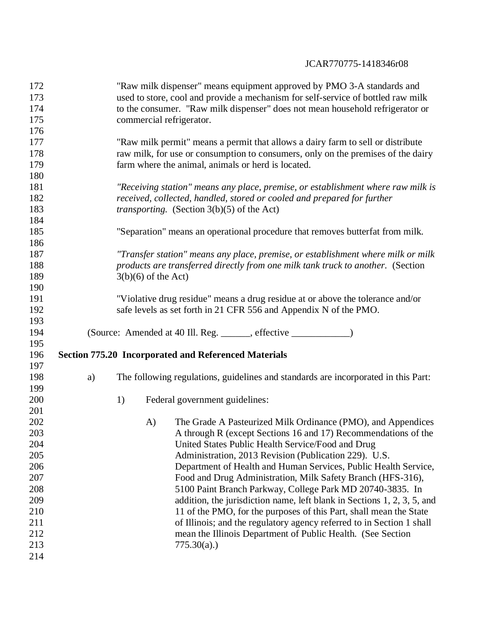| 173        |    | "Raw milk dispenser" means equipment approved by PMO 3-A standards and                                                                      |  |  |  |  |  |  |  |
|------------|----|---------------------------------------------------------------------------------------------------------------------------------------------|--|--|--|--|--|--|--|
|            |    | used to store, cool and provide a mechanism for self-service of bottled raw milk                                                            |  |  |  |  |  |  |  |
| 174        |    | to the consumer. "Raw milk dispenser" does not mean household refrigerator or                                                               |  |  |  |  |  |  |  |
| 175        |    | commercial refrigerator.                                                                                                                    |  |  |  |  |  |  |  |
| 176        |    |                                                                                                                                             |  |  |  |  |  |  |  |
| 177        |    | "Raw milk permit" means a permit that allows a dairy farm to sell or distribute                                                             |  |  |  |  |  |  |  |
| 178        |    | raw milk, for use or consumption to consumers, only on the premises of the dairy                                                            |  |  |  |  |  |  |  |
| 179        |    | farm where the animal, animals or herd is located.                                                                                          |  |  |  |  |  |  |  |
| 180        |    |                                                                                                                                             |  |  |  |  |  |  |  |
| 181        |    | "Receiving station" means any place, premise, or establishment where raw milk is                                                            |  |  |  |  |  |  |  |
| 182        |    | received, collected, handled, stored or cooled and prepared for further                                                                     |  |  |  |  |  |  |  |
| 183        |    | <i>transporting.</i> (Section $3(b)(5)$ of the Act)                                                                                         |  |  |  |  |  |  |  |
| 184        |    |                                                                                                                                             |  |  |  |  |  |  |  |
| 185        |    | "Separation" means an operational procedure that removes butterfat from milk.                                                               |  |  |  |  |  |  |  |
| 186        |    |                                                                                                                                             |  |  |  |  |  |  |  |
| 187        |    | "Transfer station" means any place, premise, or establishment where milk or milk                                                            |  |  |  |  |  |  |  |
| 188        |    | products are transferred directly from one milk tank truck to another. (Section                                                             |  |  |  |  |  |  |  |
| 189        |    | $3(b)(6)$ of the Act)                                                                                                                       |  |  |  |  |  |  |  |
| 190        |    |                                                                                                                                             |  |  |  |  |  |  |  |
| 191        |    | "Violative drug residue" means a drug residue at or above the tolerance and/or                                                              |  |  |  |  |  |  |  |
| 192        |    | safe levels as set forth in 21 CFR 556 and Appendix N of the PMO.                                                                           |  |  |  |  |  |  |  |
| 193        |    |                                                                                                                                             |  |  |  |  |  |  |  |
| 194        |    |                                                                                                                                             |  |  |  |  |  |  |  |
| 195        |    |                                                                                                                                             |  |  |  |  |  |  |  |
|            |    |                                                                                                                                             |  |  |  |  |  |  |  |
|            |    |                                                                                                                                             |  |  |  |  |  |  |  |
| 196<br>197 |    | <b>Section 775.20 Incorporated and Referenced Materials</b>                                                                                 |  |  |  |  |  |  |  |
| 198        |    |                                                                                                                                             |  |  |  |  |  |  |  |
|            | a) | The following regulations, guidelines and standards are incorporated in this Part:                                                          |  |  |  |  |  |  |  |
| 199        |    |                                                                                                                                             |  |  |  |  |  |  |  |
| 200        |    | Federal government guidelines:<br>1)                                                                                                        |  |  |  |  |  |  |  |
| 201        |    |                                                                                                                                             |  |  |  |  |  |  |  |
| 202<br>203 |    | The Grade A Pasteurized Milk Ordinance (PMO), and Appendices<br>A)                                                                          |  |  |  |  |  |  |  |
|            |    | A through R (except Sections 16 and 17) Recommendations of the                                                                              |  |  |  |  |  |  |  |
| 204<br>205 |    | United States Public Health Service/Food and Drug                                                                                           |  |  |  |  |  |  |  |
|            |    | Administration, 2013 Revision (Publication 229). U.S.                                                                                       |  |  |  |  |  |  |  |
| 206<br>207 |    | Department of Health and Human Services, Public Health Service,                                                                             |  |  |  |  |  |  |  |
| 208        |    | Food and Drug Administration, Milk Safety Branch (HFS-316),<br>5100 Paint Branch Parkway, College Park MD 20740-3835. In                    |  |  |  |  |  |  |  |
| 209        |    |                                                                                                                                             |  |  |  |  |  |  |  |
| 210        |    | addition, the jurisdiction name, left blank in Sections 1, 2, 3, 5, and                                                                     |  |  |  |  |  |  |  |
| 211        |    | 11 of the PMO, for the purposes of this Part, shall mean the State<br>of Illinois; and the regulatory agency referred to in Section 1 shall |  |  |  |  |  |  |  |
| 212        |    | mean the Illinois Department of Public Health. (See Section                                                                                 |  |  |  |  |  |  |  |
| 213        |    | $775.30(a)$ .)                                                                                                                              |  |  |  |  |  |  |  |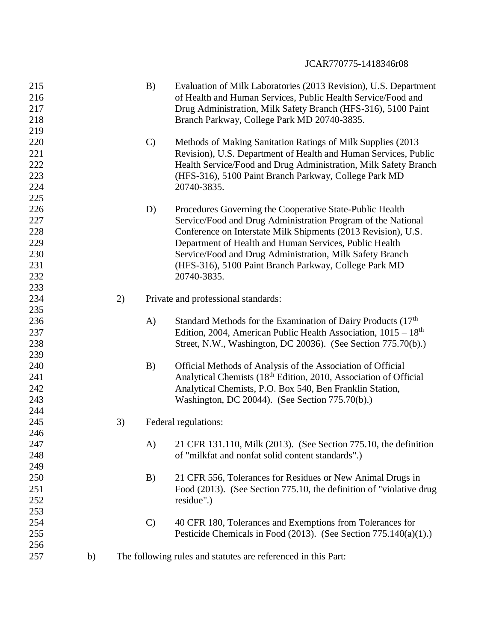| 215<br>216<br>217<br>218<br>219                      |    |    | B)            | Evaluation of Milk Laboratories (2013 Revision), U.S. Department<br>of Health and Human Services, Public Health Service/Food and<br>Drug Administration, Milk Safety Branch (HFS-316), 5100 Paint<br>Branch Parkway, College Park MD 20740-3835.                                                                                                                                        |
|------------------------------------------------------|----|----|---------------|-----------------------------------------------------------------------------------------------------------------------------------------------------------------------------------------------------------------------------------------------------------------------------------------------------------------------------------------------------------------------------------------|
| 220<br>221<br>222<br>223<br>224<br>225               |    |    | $\mathcal{C}$ | Methods of Making Sanitation Ratings of Milk Supplies (2013)<br>Revision), U.S. Department of Health and Human Services, Public<br>Health Service/Food and Drug Administration, Milk Safety Branch<br>(HFS-316), 5100 Paint Branch Parkway, College Park MD<br>20740-3835.                                                                                                              |
| 226<br>227<br>228<br>229<br>230<br>231<br>232<br>233 |    |    | D)            | Procedures Governing the Cooperative State-Public Health<br>Service/Food and Drug Administration Program of the National<br>Conference on Interstate Milk Shipments (2013 Revision), U.S.<br>Department of Health and Human Services, Public Health<br>Service/Food and Drug Administration, Milk Safety Branch<br>(HFS-316), 5100 Paint Branch Parkway, College Park MD<br>20740-3835. |
| 234                                                  |    | 2) |               | Private and professional standards:                                                                                                                                                                                                                                                                                                                                                     |
| 235<br>236<br>237<br>238                             |    |    | $\bf{A}$      | Standard Methods for the Examination of Dairy Products (17th<br>Edition, 2004, American Public Health Association, $1015 - 18$ <sup>th</sup><br>Street, N.W., Washington, DC 20036). (See Section 775.70(b).)                                                                                                                                                                           |
| 239<br>240<br>241<br>242<br>243<br>244               |    |    | B)            | Official Methods of Analysis of the Association of Official<br>Analytical Chemists (18 <sup>th</sup> Edition, 2010, Association of Official<br>Analytical Chemists, P.O. Box 540, Ben Franklin Station,<br>Washington, DC 20044). (See Section 775.70(b).)                                                                                                                              |
| 245<br>246                                           |    | 3) |               | Federal regulations:                                                                                                                                                                                                                                                                                                                                                                    |
| 247<br>248<br>249                                    |    |    | A)            | 21 CFR 131.110, Milk (2013). (See Section 775.10, the definition<br>of "milkfat and nonfat solid content standards".)                                                                                                                                                                                                                                                                   |
| 250<br>251<br>252<br>253                             |    |    | B)            | 21 CFR 556, Tolerances for Residues or New Animal Drugs in<br>Food (2013). (See Section 775.10, the definition of "violative drug<br>residue".)                                                                                                                                                                                                                                         |
| 254<br>255<br>256                                    |    |    | $\mathbf{C}$  | 40 CFR 180, Tolerances and Exemptions from Tolerances for<br>Pesticide Chemicals in Food $(2013)$ . (See Section 775.140 $(a)(1)$ .)                                                                                                                                                                                                                                                    |
| 257                                                  | b) |    |               | The following rules and statutes are referenced in this Part:                                                                                                                                                                                                                                                                                                                           |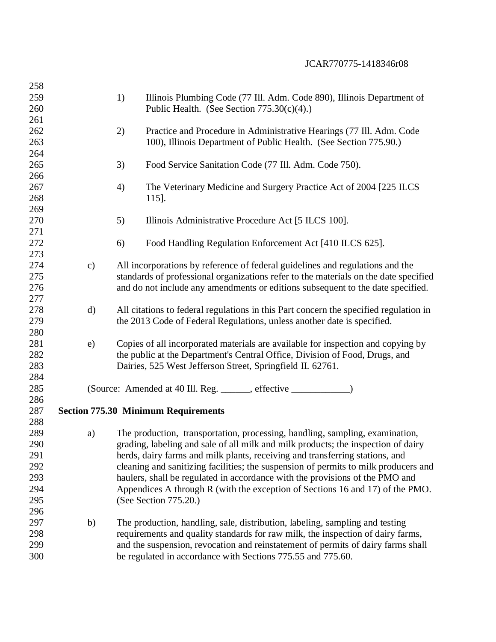| 258 |               |    |                                                                                       |
|-----|---------------|----|---------------------------------------------------------------------------------------|
| 259 |               | 1) | Illinois Plumbing Code (77 Ill. Adm. Code 890), Illinois Department of                |
| 260 |               |    | Public Health. (See Section $775.30(c)(4)$ .)                                         |
| 261 |               |    |                                                                                       |
| 262 |               | 2) | Practice and Procedure in Administrative Hearings (77 Ill. Adm. Code                  |
| 263 |               |    | 100), Illinois Department of Public Health. (See Section 775.90.)                     |
| 264 |               |    |                                                                                       |
| 265 |               | 3) | Food Service Sanitation Code (77 Ill. Adm. Code 750).                                 |
| 266 |               |    |                                                                                       |
| 267 |               | 4) | The Veterinary Medicine and Surgery Practice Act of 2004 [225 ILCS]                   |
| 268 |               |    | 115].                                                                                 |
| 269 |               |    |                                                                                       |
| 270 |               | 5) | Illinois Administrative Procedure Act [5 ILCS 100].                                   |
| 271 |               |    |                                                                                       |
| 272 |               | 6) | Food Handling Regulation Enforcement Act [410 ILCS 625].                              |
| 273 |               |    |                                                                                       |
| 274 | $\mathbf{c})$ |    | All incorporations by reference of federal guidelines and regulations and the         |
| 275 |               |    | standards of professional organizations refer to the materials on the date specified  |
| 276 |               |    | and do not include any amendments or editions subsequent to the date specified.       |
| 277 |               |    |                                                                                       |
| 278 | $\mathbf{d}$  |    | All citations to federal regulations in this Part concern the specified regulation in |
| 279 |               |    | the 2013 Code of Federal Regulations, unless another date is specified.               |
| 280 |               |    |                                                                                       |
| 281 | e)            |    | Copies of all incorporated materials are available for inspection and copying by      |
| 282 |               |    | the public at the Department's Central Office, Division of Food, Drugs, and           |
| 283 |               |    | Dairies, 525 West Jefferson Street, Springfield IL 62761.                             |
| 284 |               |    |                                                                                       |
| 285 |               |    |                                                                                       |
| 286 |               |    |                                                                                       |
| 287 |               |    | <b>Section 775.30 Minimum Requirements</b>                                            |
| 288 |               |    |                                                                                       |
| 289 | a)            |    | The production, transportation, processing, handling, sampling, examination,          |
| 290 |               |    | grading, labeling and sale of all milk and milk products; the inspection of dairy     |
| 291 |               |    | herds, dairy farms and milk plants, receiving and transferring stations, and          |
| 292 |               |    | cleaning and sanitizing facilities; the suspension of permits to milk producers and   |
| 293 |               |    | haulers, shall be regulated in accordance with the provisions of the PMO and          |
| 294 |               |    | Appendices A through R (with the exception of Sections 16 and 17) of the PMO.         |
| 295 |               |    | (See Section 775.20.)                                                                 |
| 296 |               |    |                                                                                       |
| 297 | b)            |    | The production, handling, sale, distribution, labeling, sampling and testing          |
| 298 |               |    | requirements and quality standards for raw milk, the inspection of dairy farms,       |
| 299 |               |    | and the suspension, revocation and reinstatement of permits of dairy farms shall      |
| 300 |               |    | be regulated in accordance with Sections 775.55 and 775.60.                           |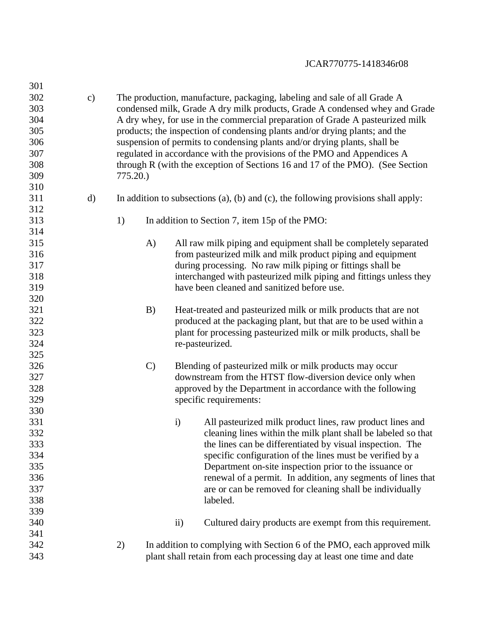| 301 |               |                                                                             |               |                     |                                                                                    |  |
|-----|---------------|-----------------------------------------------------------------------------|---------------|---------------------|------------------------------------------------------------------------------------|--|
| 302 | $\mathbf{c})$ |                                                                             |               |                     | The production, manufacture, packaging, labeling and sale of all Grade A           |  |
| 303 |               | condensed milk, Grade A dry milk products, Grade A condensed whey and Grade |               |                     |                                                                                    |  |
| 304 |               |                                                                             |               |                     | A dry whey, for use in the commercial preparation of Grade A pasteurized milk      |  |
| 305 |               |                                                                             |               |                     | products; the inspection of condensing plants and/or drying plants; and the        |  |
| 306 |               |                                                                             |               |                     | suspension of permits to condensing plants and/or drying plants, shall be          |  |
| 307 |               |                                                                             |               |                     | regulated in accordance with the provisions of the PMO and Appendices A            |  |
| 308 |               |                                                                             |               |                     | through R (with the exception of Sections 16 and 17 of the PMO). (See Section      |  |
| 309 |               | 775.20.                                                                     |               |                     |                                                                                    |  |
| 310 |               |                                                                             |               |                     |                                                                                    |  |
| 311 | $\mathbf{d}$  |                                                                             |               |                     | In addition to subsections (a), (b) and (c), the following provisions shall apply: |  |
| 312 |               |                                                                             |               |                     |                                                                                    |  |
| 313 |               | 1)                                                                          |               |                     | In addition to Section 7, item 15p of the PMO:                                     |  |
| 314 |               |                                                                             |               |                     |                                                                                    |  |
| 315 |               |                                                                             |               |                     | All raw milk piping and equipment shall be completely separated                    |  |
| 316 |               |                                                                             | A)            |                     |                                                                                    |  |
|     |               |                                                                             |               |                     | from pasteurized milk and milk product piping and equipment                        |  |
| 317 |               |                                                                             |               |                     | during processing. No raw milk piping or fittings shall be                         |  |
| 318 |               |                                                                             |               |                     | interchanged with pasteurized milk piping and fittings unless they                 |  |
| 319 |               |                                                                             |               |                     | have been cleaned and sanitized before use.                                        |  |
| 320 |               |                                                                             |               |                     |                                                                                    |  |
| 321 |               |                                                                             | B)            |                     | Heat-treated and pasteurized milk or milk products that are not                    |  |
| 322 |               |                                                                             |               |                     | produced at the packaging plant, but that are to be used within a                  |  |
| 323 |               |                                                                             |               |                     | plant for processing pasteurized milk or milk products, shall be                   |  |
| 324 |               |                                                                             |               | re-pasteurized.     |                                                                                    |  |
| 325 |               |                                                                             |               |                     |                                                                                    |  |
| 326 |               |                                                                             | $\mathcal{C}$ |                     | Blending of pasteurized milk or milk products may occur                            |  |
| 327 |               |                                                                             |               |                     | downstream from the HTST flow-diversion device only when                           |  |
| 328 |               |                                                                             |               |                     | approved by the Department in accordance with the following                        |  |
| 329 |               |                                                                             |               |                     | specific requirements:                                                             |  |
| 330 |               |                                                                             |               |                     |                                                                                    |  |
| 331 |               |                                                                             |               | $\ddot{\mathbf{i}}$ | All pasteurized milk product lines, raw product lines and                          |  |
| 332 |               |                                                                             |               |                     | cleaning lines within the milk plant shall be labeled so that                      |  |
| 333 |               |                                                                             |               |                     | the lines can be differentiated by visual inspection. The                          |  |
| 334 |               |                                                                             |               |                     | specific configuration of the lines must be verified by a                          |  |
| 335 |               |                                                                             |               |                     | Department on-site inspection prior to the issuance or                             |  |
| 336 |               |                                                                             |               |                     | renewal of a permit. In addition, any segments of lines that                       |  |
| 337 |               |                                                                             |               |                     | are or can be removed for cleaning shall be individually                           |  |
| 338 |               |                                                                             |               |                     | labeled.                                                                           |  |
| 339 |               |                                                                             |               |                     |                                                                                    |  |
| 340 |               |                                                                             |               | $\ddot{\textbf{i}}$ | Cultured dairy products are exempt from this requirement.                          |  |
| 341 |               |                                                                             |               |                     |                                                                                    |  |
| 342 |               | 2)                                                                          |               |                     | In addition to complying with Section 6 of the PMO, each approved milk             |  |
| 343 |               |                                                                             |               |                     | plant shall retain from each processing day at least one time and date             |  |
|     |               |                                                                             |               |                     |                                                                                    |  |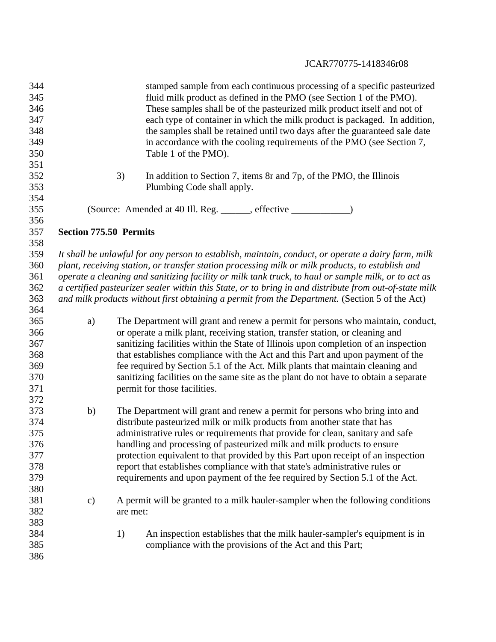| 344 |                               | stamped sample from each continuous processing of a specific pasteurized                               |
|-----|-------------------------------|--------------------------------------------------------------------------------------------------------|
| 345 |                               | fluid milk product as defined in the PMO (see Section 1 of the PMO).                                   |
| 346 |                               | These samples shall be of the pasteurized milk product itself and not of                               |
| 347 |                               | each type of container in which the milk product is packaged. In addition,                             |
| 348 |                               | the samples shall be retained until two days after the guaranteed sale date                            |
| 349 |                               | in accordance with the cooling requirements of the PMO (see Section 7,                                 |
| 350 |                               | Table 1 of the PMO).                                                                                   |
| 351 |                               |                                                                                                        |
| 352 |                               | 3)<br>In addition to Section 7, items $8r$ and $7p$ , of the PMO, the Illinois                         |
| 353 |                               | Plumbing Code shall apply.                                                                             |
| 354 |                               |                                                                                                        |
| 355 |                               | (Source: Amended at 40 Ill. Reg. _____, effective _______                                              |
| 356 |                               |                                                                                                        |
| 357 | <b>Section 775.50 Permits</b> |                                                                                                        |
| 358 |                               |                                                                                                        |
| 359 |                               | It shall be unlawful for any person to establish, maintain, conduct, or operate a dairy farm, milk     |
| 360 |                               | plant, receiving station, or transfer station processing milk or milk products, to establish and       |
| 361 |                               | operate a cleaning and sanitizing facility or milk tank truck, to haul or sample milk, or to act as    |
| 362 |                               | a certified pasteurizer sealer within this State, or to bring in and distribute from out-of-state milk |
| 363 |                               | and milk products without first obtaining a permit from the Department. (Section 5 of the Act)         |
| 364 |                               |                                                                                                        |
| 365 | a)                            | The Department will grant and renew a permit for persons who maintain, conduct,                        |
| 366 |                               | or operate a milk plant, receiving station, transfer station, or cleaning and                          |
| 367 |                               | sanitizing facilities within the State of Illinois upon completion of an inspection                    |
| 368 |                               | that establishes compliance with the Act and this Part and upon payment of the                         |
| 369 |                               | fee required by Section 5.1 of the Act. Milk plants that maintain cleaning and                         |
| 370 |                               | sanitizing facilities on the same site as the plant do not have to obtain a separate                   |
| 371 |                               | permit for those facilities.                                                                           |
| 372 |                               |                                                                                                        |
| 373 | b)                            | The Department will grant and renew a permit for persons who bring into and                            |
| 374 |                               | distribute pasteurized milk or milk products from another state that has                               |
| 375 |                               | administrative rules or requirements that provide for clean, sanitary and safe                         |
| 376 |                               | handling and processing of pasteurized milk and milk products to ensure                                |
| 377 |                               | protection equivalent to that provided by this Part upon receipt of an inspection                      |
| 378 |                               | report that establishes compliance with that state's administrative rules or                           |
| 379 |                               | requirements and upon payment of the fee required by Section 5.1 of the Act.                           |
| 380 |                               |                                                                                                        |
| 381 | $\mathbf{c})$                 | A permit will be granted to a milk hauler-sampler when the following conditions                        |
| 382 |                               | are met:                                                                                               |
| 383 |                               |                                                                                                        |
| 384 |                               | 1)<br>An inspection establishes that the milk hauler-sampler's equipment is in                         |
| 385 |                               | compliance with the provisions of the Act and this Part;                                               |
| 386 |                               |                                                                                                        |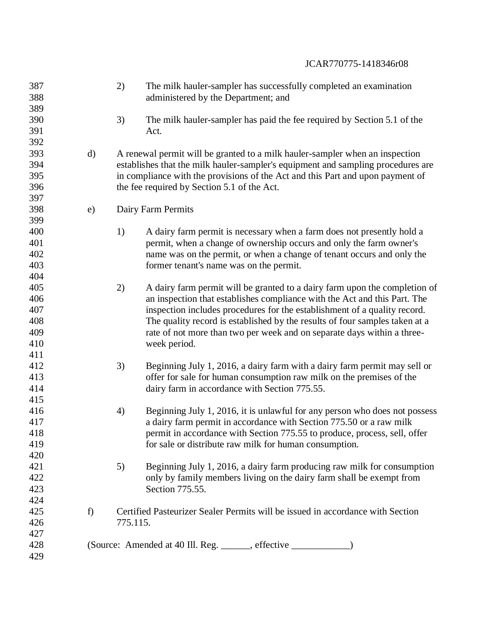| 387<br>388 |    | 2)       | The milk hauler-sampler has successfully completed an examination<br>administered by the Department; and |
|------------|----|----------|----------------------------------------------------------------------------------------------------------|
| 389        |    |          |                                                                                                          |
| 390        |    | 3)       | The milk hauler-sampler has paid the fee required by Section 5.1 of the                                  |
| 391        |    |          | Act.                                                                                                     |
| 392        |    |          |                                                                                                          |
| 393        | d) |          | A renewal permit will be granted to a milk hauler-sampler when an inspection                             |
| 394        |    |          | establishes that the milk hauler-sampler's equipment and sampling procedures are                         |
| 395        |    |          | in compliance with the provisions of the Act and this Part and upon payment of                           |
| 396        |    |          | the fee required by Section 5.1 of the Act.                                                              |
| 397        |    |          |                                                                                                          |
| 398        | e) |          | Dairy Farm Permits                                                                                       |
| 399        |    |          |                                                                                                          |
| 400        |    | 1)       | A dairy farm permit is necessary when a farm does not presently hold a                                   |
| 401        |    |          | permit, when a change of ownership occurs and only the farm owner's                                      |
| 402        |    |          | name was on the permit, or when a change of tenant occurs and only the                                   |
| 403        |    |          | former tenant's name was on the permit.                                                                  |
| 404        |    |          |                                                                                                          |
| 405        |    | 2)       | A dairy farm permit will be granted to a dairy farm upon the completion of                               |
| 406        |    |          | an inspection that establishes compliance with the Act and this Part. The                                |
| 407        |    |          | inspection includes procedures for the establishment of a quality record.                                |
| 408        |    |          | The quality record is established by the results of four samples taken at a                              |
| 409        |    |          | rate of not more than two per week and on separate days within a three-                                  |
| 410        |    |          | week period.                                                                                             |
| 411        |    |          |                                                                                                          |
| 412        |    | 3)       | Beginning July 1, 2016, a dairy farm with a dairy farm permit may sell or                                |
| 413        |    |          | offer for sale for human consumption raw milk on the premises of the                                     |
| 414        |    |          | dairy farm in accordance with Section 775.55.                                                            |
| 415        |    |          |                                                                                                          |
| 416        |    | 4)       | Beginning July 1, 2016, it is unlawful for any person who does not possess                               |
| 417        |    |          | a dairy farm permit in accordance with Section 775.50 or a raw milk                                      |
| 418        |    |          | permit in accordance with Section 775.55 to produce, process, sell, offer                                |
| 419        |    |          | for sale or distribute raw milk for human consumption.                                                   |
| 420        |    |          |                                                                                                          |
| 421        |    | 5)       | Beginning July 1, 2016, a dairy farm producing raw milk for consumption                                  |
| 422        |    |          | only by family members living on the dairy farm shall be exempt from                                     |
| 423        |    |          | Section 775.55.                                                                                          |
| 424        |    |          |                                                                                                          |
| 425        | f  |          | Certified Pasteurizer Sealer Permits will be issued in accordance with Section                           |
| 426        |    | 775.115. |                                                                                                          |
| 427        |    |          |                                                                                                          |
| 428        |    |          | (Source: Amended at 40 Ill. Reg. ______, effective ______________)                                       |
| 429        |    |          |                                                                                                          |
|            |    |          |                                                                                                          |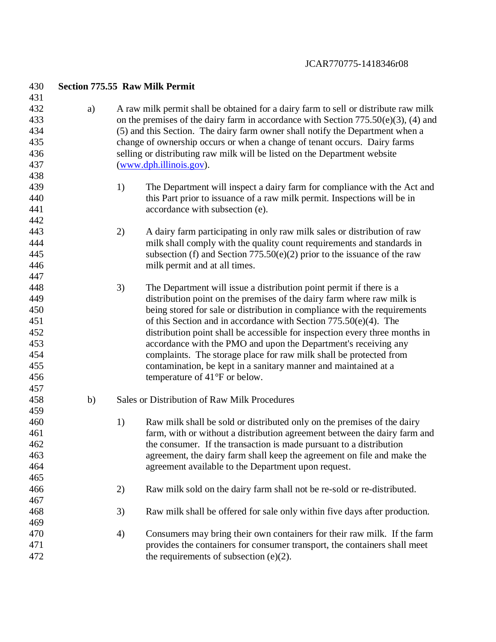| 430 |    |                                                                               | <b>Section 775.55 Raw Milk Permit</b>                                                 |  |  |  |  |
|-----|----|-------------------------------------------------------------------------------|---------------------------------------------------------------------------------------|--|--|--|--|
| 431 |    |                                                                               |                                                                                       |  |  |  |  |
| 432 | a) |                                                                               | A raw milk permit shall be obtained for a dairy farm to sell or distribute raw milk   |  |  |  |  |
| 433 |    |                                                                               | on the premises of the dairy farm in accordance with Section $775.50(e)(3)$ , (4) and |  |  |  |  |
| 434 |    | (5) and this Section. The dairy farm owner shall notify the Department when a |                                                                                       |  |  |  |  |
| 435 |    |                                                                               | change of ownership occurs or when a change of tenant occurs. Dairy farms             |  |  |  |  |
| 436 |    |                                                                               | selling or distributing raw milk will be listed on the Department website             |  |  |  |  |
| 437 |    |                                                                               | $(\underline{www.dph.illinois.gov}).$                                                 |  |  |  |  |
| 438 |    |                                                                               |                                                                                       |  |  |  |  |
| 439 |    | 1)                                                                            | The Department will inspect a dairy farm for compliance with the Act and              |  |  |  |  |
| 440 |    |                                                                               | this Part prior to issuance of a raw milk permit. Inspections will be in              |  |  |  |  |
| 441 |    |                                                                               | accordance with subsection (e).                                                       |  |  |  |  |
| 442 |    |                                                                               |                                                                                       |  |  |  |  |
| 443 |    | 2)                                                                            | A dairy farm participating in only raw milk sales or distribution of raw              |  |  |  |  |
| 444 |    |                                                                               | milk shall comply with the quality count requirements and standards in                |  |  |  |  |
| 445 |    |                                                                               | subsection (f) and Section $775.50(e)(2)$ prior to the issuance of the raw            |  |  |  |  |
| 446 |    |                                                                               | milk permit and at all times.                                                         |  |  |  |  |
| 447 |    |                                                                               |                                                                                       |  |  |  |  |
| 448 |    | 3)                                                                            | The Department will issue a distribution point permit if there is a                   |  |  |  |  |
| 449 |    |                                                                               | distribution point on the premises of the dairy farm where raw milk is                |  |  |  |  |
| 450 |    |                                                                               | being stored for sale or distribution in compliance with the requirements             |  |  |  |  |
| 451 |    |                                                                               | of this Section and in accordance with Section $775.50(e)(4)$ . The                   |  |  |  |  |
| 452 |    |                                                                               | distribution point shall be accessible for inspection every three months in           |  |  |  |  |
| 453 |    |                                                                               | accordance with the PMO and upon the Department's receiving any                       |  |  |  |  |
| 454 |    |                                                                               | complaints. The storage place for raw milk shall be protected from                    |  |  |  |  |
| 455 |    |                                                                               | contamination, be kept in a sanitary manner and maintained at a                       |  |  |  |  |
| 456 |    |                                                                               | temperature of 41°F or below.                                                         |  |  |  |  |
| 457 |    |                                                                               |                                                                                       |  |  |  |  |
| 458 | b) |                                                                               | Sales or Distribution of Raw Milk Procedures                                          |  |  |  |  |
| 459 |    |                                                                               |                                                                                       |  |  |  |  |
| 460 |    | 1)                                                                            | Raw milk shall be sold or distributed only on the premises of the dairy               |  |  |  |  |
| 461 |    |                                                                               | farm, with or without a distribution agreement between the dairy farm and             |  |  |  |  |
| 462 |    |                                                                               | the consumer. If the transaction is made pursuant to a distribution                   |  |  |  |  |
| 463 |    |                                                                               | agreement, the dairy farm shall keep the agreement on file and make the               |  |  |  |  |
| 464 |    |                                                                               | agreement available to the Department upon request.                                   |  |  |  |  |
| 465 |    |                                                                               |                                                                                       |  |  |  |  |
| 466 |    | 2)                                                                            | Raw milk sold on the dairy farm shall not be re-sold or re-distributed.               |  |  |  |  |
| 467 |    |                                                                               |                                                                                       |  |  |  |  |
| 468 |    | 3)                                                                            | Raw milk shall be offered for sale only within five days after production.            |  |  |  |  |
| 469 |    |                                                                               |                                                                                       |  |  |  |  |
| 470 |    | 4)                                                                            | Consumers may bring their own containers for their raw milk. If the farm              |  |  |  |  |
| 471 |    |                                                                               | provides the containers for consumer transport, the containers shall meet             |  |  |  |  |
| 472 |    |                                                                               | the requirements of subsection $(e)(2)$ .                                             |  |  |  |  |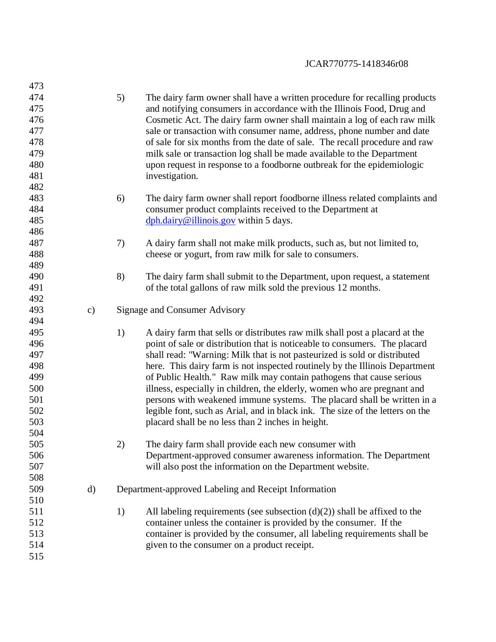| 473        |               |                                                                                    |
|------------|---------------|------------------------------------------------------------------------------------|
| 474        |               | 5)<br>The dairy farm owner shall have a written procedure for recalling products   |
| 475        |               | and notifying consumers in accordance with the Illinois Food, Drug and             |
| 476        |               | Cosmetic Act. The dairy farm owner shall maintain a log of each raw milk           |
| 477        |               | sale or transaction with consumer name, address, phone number and date             |
| 478        |               | of sale for six months from the date of sale. The recall procedure and raw         |
| 479        |               | milk sale or transaction log shall be made available to the Department             |
| 480        |               | upon request in response to a foodborne outbreak for the epidemiologic             |
| 481        |               | investigation.                                                                     |
| 482        |               |                                                                                    |
| 483        |               | 6)<br>The dairy farm owner shall report foodborne illness related complaints and   |
| 484        |               | consumer product complaints received to the Department at                          |
| 485        |               | $\frac{\text{dph.} \cdot \text{dairy@}$ illinois.gov within 5 days.                |
| 486        |               |                                                                                    |
| 487        |               |                                                                                    |
| 488        |               | 7)<br>A dairy farm shall not make milk products, such as, but not limited to,      |
| 489        |               | cheese or yogurt, from raw milk for sale to consumers.                             |
| 490        |               |                                                                                    |
| 491        |               | 8)<br>The dairy farm shall submit to the Department, upon request, a statement     |
|            |               | of the total gallons of raw milk sold the previous 12 months.                      |
| 492<br>493 |               |                                                                                    |
|            | $\mathbf{c})$ | Signage and Consumer Advisory                                                      |
| 494        |               |                                                                                    |
| 495        |               | 1)<br>A dairy farm that sells or distributes raw milk shall post a placard at the  |
| 496        |               | point of sale or distribution that is noticeable to consumers. The placard         |
| 497        |               | shall read: "Warning: Milk that is not pasteurized is sold or distributed          |
| 498        |               | here. This dairy farm is not inspected routinely by the Illinois Department        |
| 499        |               | of Public Health." Raw milk may contain pathogens that cause serious               |
| 500        |               | illness, especially in children, the elderly, women who are pregnant and           |
| 501        |               | persons with weakened immune systems. The placard shall be written in a            |
| 502        |               | legible font, such as Arial, and in black ink. The size of the letters on the      |
| 503        |               | placard shall be no less than 2 inches in height.                                  |
| 504        |               |                                                                                    |
| 505        |               | The dairy farm shall provide each new consumer with<br>2)                          |
| 506        |               | Department-approved consumer awareness information. The Department                 |
| 507        |               | will also post the information on the Department website.                          |
| 508        |               |                                                                                    |
| 509        | d)            | Department-approved Labeling and Receipt Information                               |
| 510        |               |                                                                                    |
| 511        |               | All labeling requirements (see subsection $(d)(2)$ ) shall be affixed to the<br>1) |
| 512        |               | container unless the container is provided by the consumer. If the                 |
| 513        |               | container is provided by the consumer, all labeling requirements shall be          |
| 514        |               | given to the consumer on a product receipt.                                        |
| 515        |               |                                                                                    |
|            |               |                                                                                    |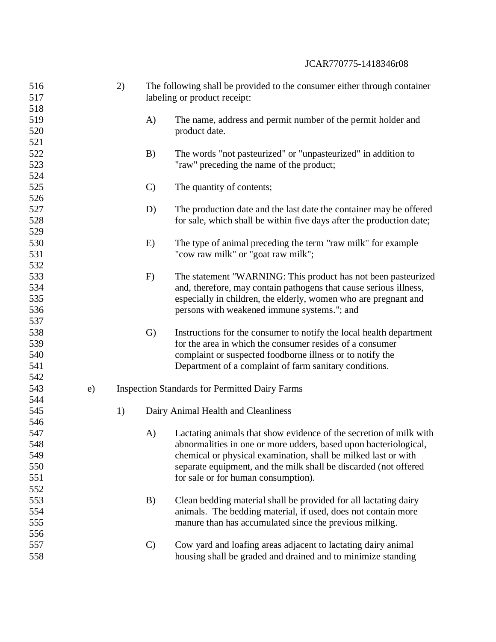| 516 |    | 2) | The following shall be provided to the consumer either through container |                                                                      |  |
|-----|----|----|--------------------------------------------------------------------------|----------------------------------------------------------------------|--|
| 517 |    |    | labeling or product receipt:                                             |                                                                      |  |
| 518 |    |    |                                                                          |                                                                      |  |
| 519 |    |    | A)                                                                       | The name, address and permit number of the permit holder and         |  |
| 520 |    |    |                                                                          | product date.                                                        |  |
| 521 |    |    |                                                                          |                                                                      |  |
| 522 |    |    | B)                                                                       | The words "not pasteurized" or "unpasteurized" in addition to        |  |
| 523 |    |    |                                                                          | "raw" preceding the name of the product;                             |  |
| 524 |    |    |                                                                          |                                                                      |  |
| 525 |    |    | $\mathcal{C}$                                                            | The quantity of contents;                                            |  |
| 526 |    |    |                                                                          |                                                                      |  |
| 527 |    |    | D)                                                                       | The production date and the last date the container may be offered   |  |
| 528 |    |    |                                                                          | for sale, which shall be within five days after the production date; |  |
| 529 |    |    |                                                                          |                                                                      |  |
| 530 |    |    | E)                                                                       | The type of animal preceding the term "raw milk" for example         |  |
| 531 |    |    |                                                                          | "cow raw milk" or "goat raw milk";                                   |  |
| 532 |    |    |                                                                          |                                                                      |  |
| 533 |    |    | F)                                                                       | The statement "WARNING: This product has not been pasteurized        |  |
| 534 |    |    |                                                                          | and, therefore, may contain pathogens that cause serious illness,    |  |
| 535 |    |    |                                                                          | especially in children, the elderly, women who are pregnant and      |  |
| 536 |    |    |                                                                          | persons with weakened immune systems."; and                          |  |
| 537 |    |    |                                                                          |                                                                      |  |
| 538 |    |    | $\mathbf{G}$                                                             | Instructions for the consumer to notify the local health department  |  |
| 539 |    |    |                                                                          | for the area in which the consumer resides of a consumer             |  |
| 540 |    |    |                                                                          | complaint or suspected foodborne illness or to notify the            |  |
| 541 |    |    |                                                                          | Department of a complaint of farm sanitary conditions.               |  |
| 542 |    |    |                                                                          |                                                                      |  |
| 543 | e) |    |                                                                          | <b>Inspection Standards for Permitted Dairy Farms</b>                |  |
| 544 |    |    |                                                                          |                                                                      |  |
| 545 |    | 1) |                                                                          | Dairy Animal Health and Cleanliness                                  |  |
| 546 |    |    |                                                                          |                                                                      |  |
| 547 |    |    | A)                                                                       | Lactating animals that show evidence of the secretion of milk with   |  |
|     |    |    |                                                                          |                                                                      |  |
| 548 |    |    |                                                                          | abnormalities in one or more udders, based upon bacteriological,     |  |
| 549 |    |    |                                                                          | chemical or physical examination, shall be milked last or with       |  |
| 550 |    |    |                                                                          | separate equipment, and the milk shall be discarded (not offered     |  |
| 551 |    |    |                                                                          | for sale or for human consumption).                                  |  |
| 552 |    |    |                                                                          |                                                                      |  |
| 553 |    |    | B)                                                                       | Clean bedding material shall be provided for all lactating dairy     |  |
| 554 |    |    |                                                                          | animals. The bedding material, if used, does not contain more        |  |
| 555 |    |    |                                                                          | manure than has accumulated since the previous milking.              |  |
| 556 |    |    |                                                                          |                                                                      |  |
| 557 |    |    | $\mathcal{C}$                                                            | Cow yard and loafing areas adjacent to lactating dairy animal        |  |
| 558 |    |    |                                                                          | housing shall be graded and drained and to minimize standing         |  |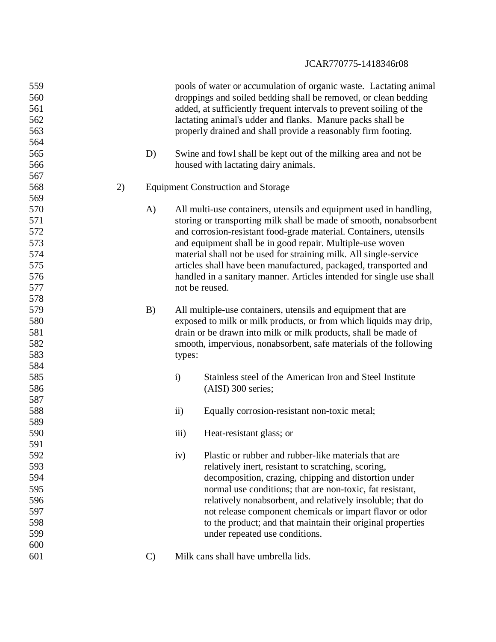| 559<br>560<br>561<br>562<br>563<br>564 |    |              |                | pools of water or accumulation of organic waste. Lactating animal<br>droppings and soiled bedding shall be removed, or clean bedding<br>added, at sufficiently frequent intervals to prevent soiling of the<br>lactating animal's udder and flanks. Manure packs shall be<br>properly drained and shall provide a reasonably firm footing. |
|----------------------------------------|----|--------------|----------------|--------------------------------------------------------------------------------------------------------------------------------------------------------------------------------------------------------------------------------------------------------------------------------------------------------------------------------------------|
| 565<br>566                             |    | D)           |                | Swine and fowl shall be kept out of the milking area and not be<br>housed with lactating dairy animals.                                                                                                                                                                                                                                    |
| 567                                    |    |              |                |                                                                                                                                                                                                                                                                                                                                            |
| 568                                    | 2) |              |                | <b>Equipment Construction and Storage</b>                                                                                                                                                                                                                                                                                                  |
| 569                                    |    |              |                |                                                                                                                                                                                                                                                                                                                                            |
| 570                                    |    | A)           |                | All multi-use containers, utensils and equipment used in handling,                                                                                                                                                                                                                                                                         |
| 571                                    |    |              |                | storing or transporting milk shall be made of smooth, nonabsorbent                                                                                                                                                                                                                                                                         |
| 572                                    |    |              |                | and corrosion-resistant food-grade material. Containers, utensils                                                                                                                                                                                                                                                                          |
| 573                                    |    |              |                | and equipment shall be in good repair. Multiple-use woven                                                                                                                                                                                                                                                                                  |
| 574                                    |    |              |                | material shall not be used for straining milk. All single-service                                                                                                                                                                                                                                                                          |
| 575                                    |    |              |                | articles shall have been manufactured, packaged, transported and                                                                                                                                                                                                                                                                           |
| 576                                    |    |              |                | handled in a sanitary manner. Articles intended for single use shall                                                                                                                                                                                                                                                                       |
| 577                                    |    |              | not be reused. |                                                                                                                                                                                                                                                                                                                                            |
| 578                                    |    |              |                |                                                                                                                                                                                                                                                                                                                                            |
| 579                                    |    | B)           |                | All multiple-use containers, utensils and equipment that are                                                                                                                                                                                                                                                                               |
| 580                                    |    |              |                | exposed to milk or milk products, or from which liquids may drip,                                                                                                                                                                                                                                                                          |
| 581                                    |    |              |                | drain or be drawn into milk or milk products, shall be made of                                                                                                                                                                                                                                                                             |
| 582                                    |    |              |                | smooth, impervious, nonabsorbent, safe materials of the following                                                                                                                                                                                                                                                                          |
| 583                                    |    |              | types:         |                                                                                                                                                                                                                                                                                                                                            |
| 584                                    |    |              |                |                                                                                                                                                                                                                                                                                                                                            |
| 585                                    |    |              | $\ddot{i}$     | Stainless steel of the American Iron and Steel Institute                                                                                                                                                                                                                                                                                   |
| 586                                    |    |              |                | (AISI) 300 series;                                                                                                                                                                                                                                                                                                                         |
| 587                                    |    |              |                |                                                                                                                                                                                                                                                                                                                                            |
| 588                                    |    |              | $\mathbf{ii}$  | Equally corrosion-resistant non-toxic metal;                                                                                                                                                                                                                                                                                               |
| 589                                    |    |              |                |                                                                                                                                                                                                                                                                                                                                            |
| 590                                    |    |              | iii)           | Heat-resistant glass; or                                                                                                                                                                                                                                                                                                                   |
| 591                                    |    |              |                |                                                                                                                                                                                                                                                                                                                                            |
| 592                                    |    |              | iv)            | Plastic or rubber and rubber-like materials that are                                                                                                                                                                                                                                                                                       |
| 593                                    |    |              |                | relatively inert, resistant to scratching, scoring,                                                                                                                                                                                                                                                                                        |
| 594                                    |    |              |                | decomposition, crazing, chipping and distortion under                                                                                                                                                                                                                                                                                      |
| 595                                    |    |              |                | normal use conditions; that are non-toxic, fat resistant,                                                                                                                                                                                                                                                                                  |
| 596                                    |    |              |                | relatively nonabsorbent, and relatively insoluble; that do                                                                                                                                                                                                                                                                                 |
| 597                                    |    |              |                | not release component chemicals or impart flavor or odor                                                                                                                                                                                                                                                                                   |
| 598                                    |    |              |                | to the product; and that maintain their original properties                                                                                                                                                                                                                                                                                |
| 599                                    |    |              |                | under repeated use conditions.                                                                                                                                                                                                                                                                                                             |
| 600                                    |    |              |                |                                                                                                                                                                                                                                                                                                                                            |
| 601                                    |    | $\mathbf{C}$ |                | Milk cans shall have umbrella lids.                                                                                                                                                                                                                                                                                                        |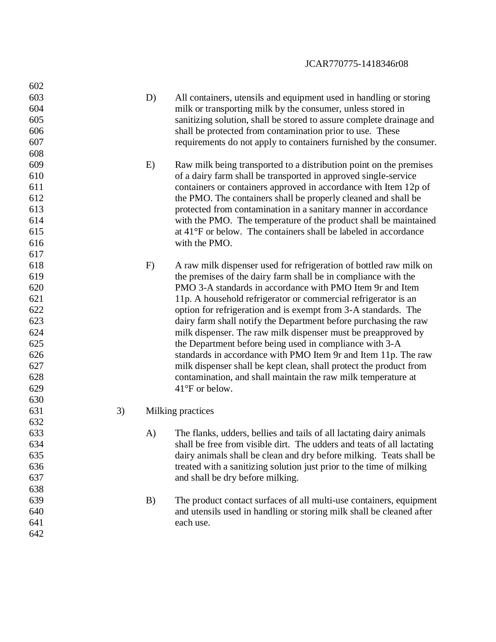| 602 |    |    |                                                                        |
|-----|----|----|------------------------------------------------------------------------|
| 603 |    | D) | All containers, utensils and equipment used in handling or storing     |
| 604 |    |    | milk or transporting milk by the consumer, unless stored in            |
| 605 |    |    | sanitizing solution, shall be stored to assure complete drainage and   |
| 606 |    |    | shall be protected from contamination prior to use. These              |
| 607 |    |    | requirements do not apply to containers furnished by the consumer.     |
| 608 |    |    |                                                                        |
| 609 |    | E) | Raw milk being transported to a distribution point on the premises     |
| 610 |    |    | of a dairy farm shall be transported in approved single-service        |
| 611 |    |    | containers or containers approved in accordance with Item 12p of       |
| 612 |    |    | the PMO. The containers shall be properly cleaned and shall be         |
| 613 |    |    | protected from contamination in a sanitary manner in accordance        |
| 614 |    |    | with the PMO. The temperature of the product shall be maintained       |
| 615 |    |    | at 41°F or below. The containers shall be labeled in accordance        |
| 616 |    |    | with the PMO.                                                          |
| 617 |    |    |                                                                        |
| 618 |    | F) | A raw milk dispenser used for refrigeration of bottled raw milk on     |
| 619 |    |    | the premises of the dairy farm shall be in compliance with the         |
| 620 |    |    | PMO 3-A standards in accordance with PMO Item 9r and Item              |
| 621 |    |    | 11p. A household refrigerator or commercial refrigerator is an         |
| 622 |    |    | option for refrigeration and is exempt from 3-A standards. The         |
| 623 |    |    | dairy farm shall notify the Department before purchasing the raw       |
| 624 |    |    | milk dispenser. The raw milk dispenser must be preapproved by          |
| 625 |    |    | the Department before being used in compliance with 3-A                |
| 626 |    |    | standards in accordance with PMO Item 9r and Item 11p. The raw         |
| 627 |    |    | milk dispenser shall be kept clean, shall protect the product from     |
| 628 |    |    | contamination, and shall maintain the raw milk temperature at          |
| 629 |    |    | $41^{\circ}$ F or below.                                               |
| 630 |    |    |                                                                        |
| 631 | 3) |    | Milking practices                                                      |
| 632 |    |    |                                                                        |
| 633 |    | A) | The flanks, udders, bellies and tails of all lactating dairy animals   |
| 634 |    |    | shall be free from visible dirt. The udders and teats of all lactating |
| 635 |    |    | dairy animals shall be clean and dry before milking. Teats shall be    |
| 636 |    |    | treated with a sanitizing solution just prior to the time of milking   |
| 637 |    |    | and shall be dry before milking.                                       |
| 638 |    |    |                                                                        |
| 639 |    | B) | The product contact surfaces of all multi-use containers, equipment    |
| 640 |    |    | and utensils used in handling or storing milk shall be cleaned after   |
| 641 |    |    | each use.                                                              |
| 642 |    |    |                                                                        |
|     |    |    |                                                                        |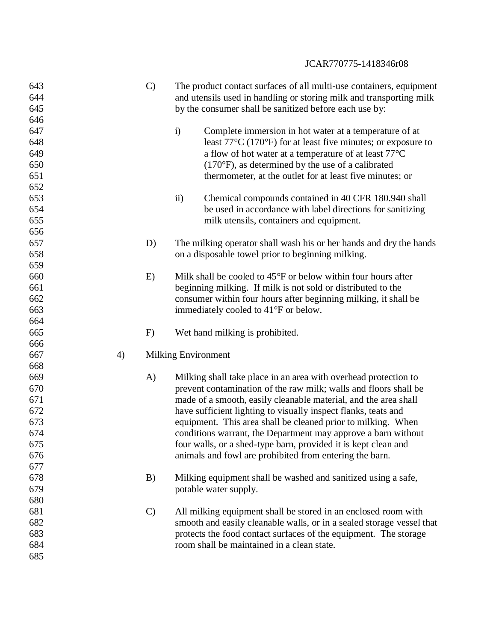| 643 |    | $\mathcal{C}$ | The product contact surfaces of all multi-use containers, equipment               |
|-----|----|---------------|-----------------------------------------------------------------------------------|
| 644 |    |               | and utensils used in handling or storing milk and transporting milk               |
| 645 |    |               | by the consumer shall be sanitized before each use by:                            |
| 646 |    |               |                                                                                   |
| 647 |    |               | Complete immersion in hot water at a temperature of at<br>$\mathbf{i}$            |
| 648 |    |               | least $77^{\circ}$ C (170 $^{\circ}$ F) for at least five minutes; or exposure to |
| 649 |    |               | a flow of hot water at a temperature of at least 77°C                             |
| 650 |    |               | $(170^{\circ}F)$ , as determined by the use of a calibrated                       |
| 651 |    |               | thermometer, at the outlet for at least five minutes; or                          |
| 652 |    |               |                                                                                   |
| 653 |    |               | $\mathbf{ii}$<br>Chemical compounds contained in 40 CFR 180.940 shall             |
| 654 |    |               | be used in accordance with label directions for sanitizing                        |
| 655 |    |               | milk utensils, containers and equipment.                                          |
| 656 |    |               |                                                                                   |
| 657 |    | D)            | The milking operator shall wash his or her hands and dry the hands                |
| 658 |    |               | on a disposable towel prior to beginning milking.                                 |
| 659 |    |               |                                                                                   |
| 660 |    | E)            | Milk shall be cooled to $45^{\circ}$ F or below within four hours after           |
| 661 |    |               | beginning milking. If milk is not sold or distributed to the                      |
| 662 |    |               | consumer within four hours after beginning milking, it shall be                   |
| 663 |    |               | immediately cooled to 41°F or below.                                              |
| 664 |    |               |                                                                                   |
| 665 |    | F)            | Wet hand milking is prohibited.                                                   |
| 666 |    |               |                                                                                   |
| 667 | 4) |               | <b>Milking Environment</b>                                                        |
| 668 |    |               |                                                                                   |
| 669 |    | $\mathbf{A}$  | Milking shall take place in an area with overhead protection to                   |
| 670 |    |               | prevent contamination of the raw milk; walls and floors shall be                  |
| 671 |    |               | made of a smooth, easily cleanable material, and the area shall                   |
| 672 |    |               | have sufficient lighting to visually inspect flanks, teats and                    |
| 673 |    |               | equipment. This area shall be cleaned prior to milking. When                      |
| 674 |    |               | conditions warrant, the Department may approve a barn without                     |
| 675 |    |               | four walls, or a shed-type barn, provided it is kept clean and                    |
| 676 |    |               | animals and fowl are prohibited from entering the barn.                           |
| 677 |    |               |                                                                                   |
| 678 |    | B)            | Milking equipment shall be washed and sanitized using a safe,                     |
| 679 |    |               | potable water supply.                                                             |
| 680 |    |               |                                                                                   |
| 681 |    | $\mathcal{C}$ | All milking equipment shall be stored in an enclosed room with                    |
| 682 |    |               | smooth and easily cleanable walls, or in a sealed storage vessel that             |
| 683 |    |               | protects the food contact surfaces of the equipment. The storage                  |
| 684 |    |               | room shall be maintained in a clean state.                                        |
| 685 |    |               |                                                                                   |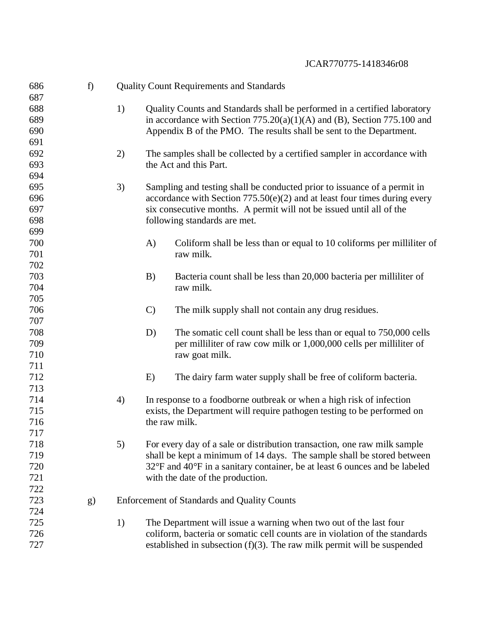| 686 | f) |    |               | <b>Quality Count Requirements and Standards</b>                             |
|-----|----|----|---------------|-----------------------------------------------------------------------------|
| 687 |    |    |               |                                                                             |
| 688 |    | 1) |               | Quality Counts and Standards shall be performed in a certified laboratory   |
| 689 |    |    |               | in accordance with Section $775.20(a)(1)(A)$ and (B), Section 775.100 and   |
| 690 |    |    |               | Appendix B of the PMO. The results shall be sent to the Department.         |
| 691 |    |    |               |                                                                             |
| 692 |    | 2) |               | The samples shall be collected by a certified sampler in accordance with    |
| 693 |    |    |               | the Act and this Part.                                                      |
| 694 |    |    |               |                                                                             |
| 695 |    | 3) |               | Sampling and testing shall be conducted prior to issuance of a permit in    |
| 696 |    |    |               | accordance with Section $775.50(e)(2)$ and at least four times during every |
| 697 |    |    |               | six consecutive months. A permit will not be issued until all of the        |
| 698 |    |    |               | following standards are met.                                                |
| 699 |    |    |               |                                                                             |
| 700 |    |    | A)            | Coliform shall be less than or equal to 10 coliforms per milliliter of      |
| 701 |    |    |               | raw milk.                                                                   |
| 702 |    |    |               |                                                                             |
| 703 |    |    | B)            | Bacteria count shall be less than 20,000 bacteria per milliliter of         |
| 704 |    |    |               | raw milk.                                                                   |
| 705 |    |    |               |                                                                             |
| 706 |    |    | $\mathbf{C}$  | The milk supply shall not contain any drug residues.                        |
| 707 |    |    |               |                                                                             |
| 708 |    |    | D)            | The somatic cell count shall be less than or equal to 750,000 cells         |
| 709 |    |    |               | per milliliter of raw cow milk or 1,000,000 cells per milliliter of         |
| 710 |    |    |               | raw goat milk.                                                              |
| 711 |    |    |               |                                                                             |
| 712 |    |    | E)            | The dairy farm water supply shall be free of coliform bacteria.             |
| 713 |    |    |               |                                                                             |
| 714 |    | 4) |               | In response to a foodborne outbreak or when a high risk of infection        |
| 715 |    |    |               | exists, the Department will require pathogen testing to be performed on     |
| 716 |    |    | the raw milk. |                                                                             |
| 717 |    |    |               |                                                                             |
| 718 |    |    |               |                                                                             |
|     |    | 5) |               | For every day of a sale or distribution transaction, one raw milk sample    |
| 719 |    |    |               | shall be kept a minimum of 14 days. The sample shall be stored between      |
| 720 |    |    |               | 32°F and 40°F in a sanitary container, be at least 6 ounces and be labeled  |
| 721 |    |    |               | with the date of the production.                                            |
| 722 |    |    |               |                                                                             |
| 723 | g) |    |               | <b>Enforcement of Standards and Quality Counts</b>                          |
| 724 |    |    |               |                                                                             |
| 725 |    | 1) |               | The Department will issue a warning when two out of the last four           |
| 726 |    |    |               | coliform, bacteria or somatic cell counts are in violation of the standards |
| 727 |    |    |               | established in subsection $(f)(3)$ . The raw milk permit will be suspended  |